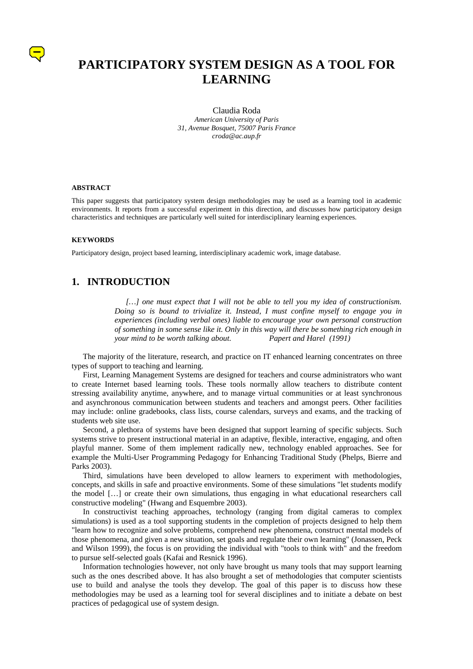# **PARTICIPATORY SYSTEM DESIGN AS A TOOL FOR LEARNING**

Claudia Roda *American University of Paris 31, Avenue Bosquet, 75007 Paris France croda@ac.aup.fr*

#### **ABSTRACT**

This paper suggests that participatory system design methodologies may be used as a learning tool in academic environments. It reports from a successful experiment in this direction, and discusses how participatory design characteristics and techniques are particularly well suited for interdisciplinary learning experiences.

#### **KEYWORDS**

Participatory design, project based learning, interdisciplinary academic work, image database.

#### **1. INTRODUCTION**

*[…] one must expect that I will not be able to tell you my idea of constructionism. Doing so is bound to trivialize it. Instead, I must confine myself to engage you in experiences (including verbal ones) liable to encourage your own personal construction of something in some sense like it. Only in this way will there be something rich enough in your mind to be worth talking about. Papert and Harel (1991)*

The majority of the literature, research, and practice on IT enhanced learning concentrates on three types of support to teaching and learning.

First, Learning Management Systems are designed for teachers and course administrators who want to create Internet based learning tools. These tools normally allow teachers to distribute content stressing availability anytime, anywhere, and to manage virtual communities or at least synchronous and asynchronous communication between students and teachers and amongst peers. Other facilities may include: online gradebooks, class lists, course calendars, surveys and exams, and the tracking of students web site use.

Second, a plethora of systems have been designed that support learning of specific subjects. Such systems strive to present instructional material in an adaptive, flexible, interactive, engaging, and often playful manner. Some of them implement radically new, technology enabled approaches. See for example the Multi-User Programming Pedagogy for Enhancing Traditional Study (Phelps, Bierre and Parks 2003).

Third, simulations have been developed to allow learners to experiment with methodologies, concepts, and skills in safe and proactive environments. Some of these simulations "let students modify the model […] or create their own simulations, thus engaging in what educational researchers call constructive modeling" (Hwang and Esquembre 2003).

In constructivist teaching approaches, technology (ranging from digital cameras to complex simulations) is used as a tool supporting students in the completion of projects designed to help them "learn how to recognize and solve problems, comprehend new phenomena, construct mental models of those phenomena, and given a new situation, set goals and regulate their own learning" (Jonassen, Peck and Wilson 1999), the focus is on providing the individual with "tools to think with" and the freedom to pursue self-selected goals (Kafai and Resnick 1996).

Information technologies however, not only have brought us many tools that may support learning such as the ones described above. It has also brought a set of methodologies that computer scientists use to build and analyse the tools they develop. The goal of this paper is to discuss how these methodologies may be used as a learning tool for several disciplines and to initiate a debate on best practices of pedagogical use of system design.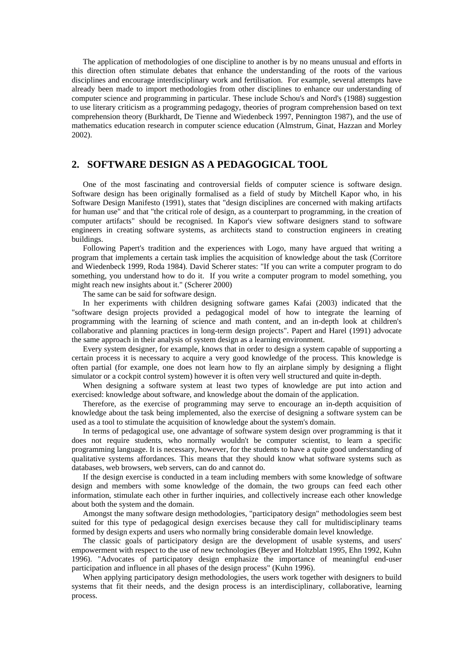The application of methodologies of one discipline to another is by no means unusual and efforts in this direction often stimulate debates that enhance the understanding of the roots of the various disciplines and encourage interdisciplinary work and fertilisation. For example, several attempts have already been made to import methodologies from other disciplines to enhance our understanding of computer science and programming in particular. These include Schou's and Nord's (1988) suggestion to use literary criticism as a programming pedagogy, theories of program comprehension based on text comprehension theory (Burkhardt, De Tienne and Wiedenbeck 1997, Pennington 1987), and the use of mathematics education research in computer science education (Almstrum, Ginat, Hazzan and Morley 2002).

## **2. SOFTWARE DESIGN AS A PEDAGOGICAL TOOL**

One of the most fascinating and controversial fields of computer science is software design. Software design has been originally formalised as a field of study by Mitchell Kapor who, in his Software Design Manifesto (1991), states that "design disciplines are concerned with making artifacts for human use" and that "the critical role of design, as a counterpart to programming, in the creation of computer artifacts" should be recognised. In Kapor's view software designers stand to software engineers in creating software systems, as architects stand to construction engineers in creating buildings.

Following Papert's tradition and the experiences with Logo, many have argued that writing a program that implements a certain task implies the acquisition of knowledge about the task (Corritore and Wiedenbeck 1999, Roda 1984). David Scherer states: "If you can write a computer program to do something, you understand how to do it. If you write a computer program to model something, you might reach new insights about it." (Scherer 2000)

The same can be said for software design.

In her experiments with children designing software games Kafai (2003) indicated that the "software design projects provided a pedagogical model of how to integrate the learning of programming with the learning of science and math content, and an in-depth look at children's collaborative and planning practices in long-term design projects". Papert and Harel (1991) advocate the same approach in their analysis of system design as a learning environment.

Every system designer, for example, knows that in order to design a system capable of supporting a certain process it is necessary to acquire a very good knowledge of the process. This knowledge is often partial (for example, one does not learn how to fly an airplane simply by designing a flight simulator or a cockpit control system) however it is often very well structured and quite in-depth.

When designing a software system at least two types of knowledge are put into action and exercised: knowledge about software, and knowledge about the domain of the application.

Therefore, as the exercise of programming may serve to encourage an in-depth acquisition of knowledge about the task being implemented, also the exercise of designing a software system can be used as a tool to stimulate the acquisition of knowledge about the system's domain.

In terms of pedagogical use, one advantage of software system design over programming is that it does not require students, who normally wouldn't be computer scientist, to learn a specific programming language. It is necessary, however, for the students to have a quite good understanding of qualitative systems affordances. This means that they should know what software systems such as databases, web browsers, web servers, can do and cannot do.

If the design exercise is conducted in a team including members with some knowledge of software design and members with some knowledge of the domain, the two groups can feed each other information, stimulate each other in further inquiries, and collectively increase each other knowledge about both the system and the domain.

Amongst the many software design methodologies, "participatory design" methodologies seem best suited for this type of pedagogical design exercises because they call for multidisciplinary teams formed by design experts and users who normally bring considerable domain level knowledge.

The classic goals of participatory design are the development of usable systems, and users' empowerment with respect to the use of new technologies (Beyer and Holtzblatt 1995, Ehn 1992, Kuhn 1996). "Advocates of participatory design emphasize the importance of meaningful end-user participation and influence in all phases of the design process" (Kuhn 1996).

When applying participatory design methodologies, the users work together with designers to build systems that fit their needs, and the design process is an interdisciplinary, collaborative, learning process.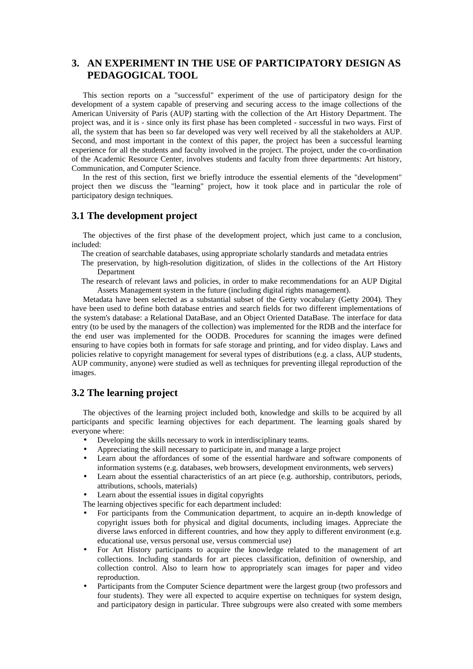# **3. AN EXPERIMENT IN THE USE OF PARTICIPATORY DESIGN AS PEDAGOGICAL TOOL**

This section reports on a "successful" experiment of the use of participatory design for the development of a system capable of preserving and securing access to the image collections of the American University of Paris (AUP) starting with the collection of the Art History Department. The project was, and it is - since only its first phase has been completed - successful in two ways. First of all, the system that has been so far developed was very well received by all the stakeholders at AUP. Second, and most important in the context of this paper, the project has been a successful learning experience for all the students and faculty involved in the project. The project, under the co-ordination of the Academic Resource Center, involves students and faculty from three departments: Art history, Communication, and Computer Science.

In the rest of this section, first we briefly introduce the essential elements of the "development" project then we discuss the "learning" project, how it took place and in particular the role of participatory design techniques.

#### **3.1 The development project**

The objectives of the first phase of the development project, which just came to a conclusion, included:

- The creation of searchable databases, using appropriate scholarly standards and metadata entries
- The preservation, by high-resolution digitization, of slides in the collections of the Art History Department
- The research of relevant laws and policies, in order to make recommendations for an AUP Digital Assets Management system in the future (including digital rights management).

Metadata have been selected as a substantial subset of the Getty vocabulary (Getty 2004). They have been used to define both database entries and search fields for two different implementations of the system's database: a Relational DataBase, and an Object Oriented DataBase. The interface for data entry (to be used by the managers of the collection) was implemented for the RDB and the interface for the end user was implemented for the OODB. Procedures for scanning the images were defined ensuring to have copies both in formats for safe storage and printing, and for video display. Laws and policies relative to copyright management for several types of distributions (e.g. a class, AUP students, AUP community, anyone) were studied as well as techniques for preventing illegal reproduction of the images.

#### **3.2 The learning project**

The objectives of the learning project included both, knowledge and skills to be acquired by all participants and specific learning objectives for each department. The learning goals shared by everyone where:

- Developing the skills necessary to work in interdisciplinary teams.
- Appreciating the skill necessary to participate in, and manage a large project
- Learn about the affordances of some of the essential hardware and software components of information systems (e.g. databases, web browsers, development environments, web servers)
- Learn about the essential characteristics of an art piece (e.g. authorship, contributors, periods, attributions, schools, materials)
- Learn about the essential issues in digital copyrights

The learning objectives specific for each department included:

- For participants from the Communication department, to acquire an in-depth knowledge of copyright issues both for physical and digital documents, including images. Appreciate the diverse laws enforced in different countries, and how they apply to different environment (e.g. educational use, versus personal use, versus commercial use)
- For Art History participants to acquire the knowledge related to the management of art collections. Including standards for art pieces classification, definition of ownership, and collection control. Also to learn how to appropriately scan images for paper and video reproduction.
- Participants from the Computer Science department were the largest group (two professors and four students). They were all expected to acquire expertise on techniques for system design, and participatory design in particular. Three subgroups were also created with some members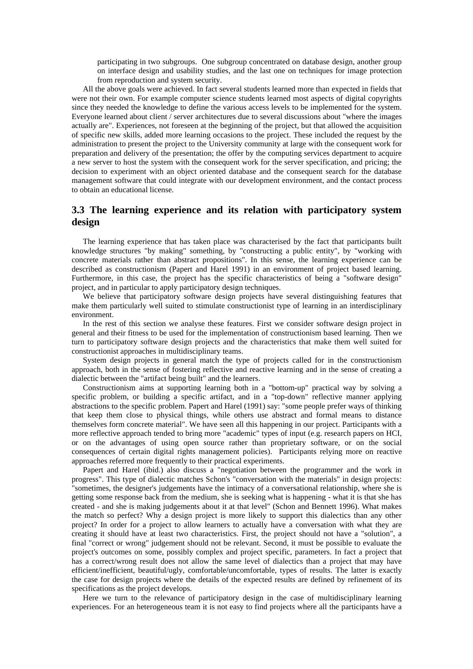participating in two subgroups. One subgroup concentrated on database design, another group on interface design and usability studies, and the last one on techniques for image protection from reproduction and system security.

All the above goals were achieved. In fact several students learned more than expected in fields that were not their own. For example computer science students learned most aspects of digital copyrights since they needed the knowledge to define the various access levels to be implemented for the system. Everyone learned about client / server architectures due to several discussions about "where the images actually are". Experiences, not foreseen at the beginning of the project, but that allowed the acquisition of specific new skills, added more learning occasions to the project. These included the request by the administration to present the project to the University community at large with the consequent work for preparation and delivery of the presentation; the offer by the computing services department to acquire a new server to host the system with the consequent work for the server specification, and pricing; the decision to experiment with an object oriented database and the consequent search for the database management software that could integrate with our development environment, and the contact process to obtain an educational license.

## **3.3 The learning experience and its relation with participatory system design**

The learning experience that has taken place was characterised by the fact that participants built knowledge structures "by making" something, by "constructing a public entity", by "working with concrete materials rather than abstract propositions". In this sense, the learning experience can be described as constructionism (Papert and Harel 1991) in an environment of project based learning. Furthermore, in this case, the project has the specific characteristics of being a "software design" project, and in particular to apply participatory design techniques.

We believe that participatory software design projects have several distinguishing features that make them particularly well suited to stimulate constructionist type of learning in an interdisciplinary environment.

In the rest of this section we analyse these features. First we consider software design project in general and their fitness to be used for the implementation of constructionism based learning. Then we turn to participatory software design projects and the characteristics that make them well suited for constructionist approaches in multidisciplinary teams.

System design projects in general match the type of projects called for in the constructionism approach, both in the sense of fostering reflective and reactive learning and in the sense of creating a dialectic between the "artifact being built" and the learners.

Constructionism aims at supporting learning both in a "bottom-up" practical way by solving a specific problem, or building a specific artifact, and in a "top-down" reflective manner applying abstractions to the specific problem. Papert and Harel (1991) say: "some people prefer ways of thinking that keep them close to physical things, while others use abstract and formal means to distance themselves form concrete material". We have seen all this happening in our project. Participants with a more reflective approach tended to bring more "academic" types of input (e.g. research papers on HCI, or on the advantages of using open source rather than proprietary software, or on the social consequences of certain digital rights management policies). Participants relying more on reactive approaches referred more frequently to their practical experiments.

Papert and Harel (ibid.) also discuss a "negotiation between the programmer and the work in progress". This type of dialectic matches Schon's "conversation with the materials" in design projects: "sometimes, the designer's judgements have the intimacy of a conversational relationship, where she is getting some response back from the medium, she is seeking what is happening - what it is that she has created - and she is making judgements about it at that level" (Schon and Bennett 1996). What makes the match so perfect? Why a design project is more likely to support this dialectics than any other project? In order for a project to allow learners to actually have a conversation with what they are creating it should have at least two characteristics. First, the project should not have a "solution", a final "correct or wrong" judgement should not be relevant. Second, it must be possible to evaluate the project's outcomes on some, possibly complex and project specific, parameters. In fact a project that has a correct/wrong result does not allow the same level of dialectics than a project that may have efficient/inefficient, beautiful/ugly, comfortable/uncomfortable, types of results. The latter is exactly the case for design projects where the details of the expected results are defined by refinement of its specifications as the project develops.

Here we turn to the relevance of participatory design in the case of multidisciplinary learning experiences. For an heterogeneous team it is not easy to find projects where all the participants have a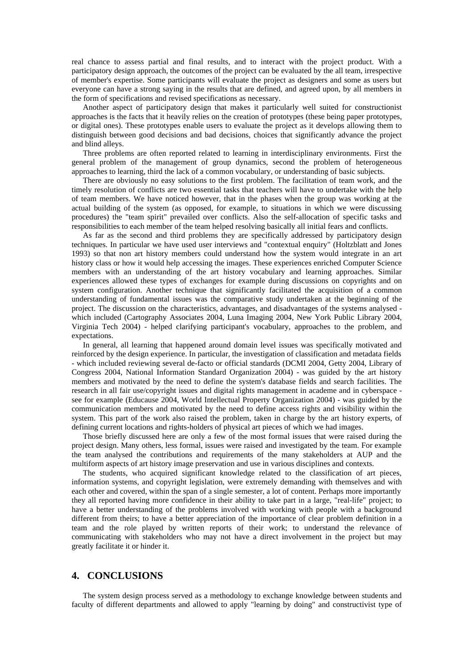real chance to assess partial and final results, and to interact with the project product. With a participatory design approach, the outcomes of the project can be evaluated by the all team, irrespective of member's expertise. Some participants will evaluate the project as designers and some as users but everyone can have a strong saying in the results that are defined, and agreed upon, by all members in the form of specifications and revised specifications as necessary.

Another aspect of participatory design that makes it particularly well suited for constructionist approaches is the facts that it heavily relies on the creation of prototypes (these being paper prototypes, or digital ones). These prototypes enable users to evaluate the project as it develops allowing them to distinguish between good decisions and bad decisions, choices that significantly advance the project and blind alleys.

Three problems are often reported related to learning in interdisciplinary environments. First the general problem of the management of group dynamics, second the problem of heterogeneous approaches to learning, third the lack of a common vocabulary, or understanding of basic subjects.

There are obviously no easy solutions to the first problem. The facilitation of team work, and the timely resolution of conflicts are two essential tasks that teachers will have to undertake with the help of team members. We have noticed however, that in the phases when the group was working at the actual building of the system (as opposed, for example, to situations in which we were discussing procedures) the "team spirit" prevailed over conflicts. Also the self-allocation of specific tasks and responsibilities to each member of the team helped resolving basically all initial fears and conflicts.

As far as the second and third problems they are specifically addressed by participatory design techniques. In particular we have used user interviews and "contextual enquiry" (Holtzblatt and Jones 1993) so that non art history members could understand how the system would integrate in an art history class or how it would help accessing the images. These experiences enriched Computer Science members with an understanding of the art history vocabulary and learning approaches. Similar experiences allowed these types of exchanges for example during discussions on copyrights and on system configuration. Another technique that significantly facilitated the acquisition of a common understanding of fundamental issues was the comparative study undertaken at the beginning of the project. The discussion on the characteristics, advantages, and disadvantages of the systems analysed which included (Cartography Associates 2004, Luna Imaging 2004, New York Public Library 2004, Virginia Tech 2004) - helped clarifying participant's vocabulary, approaches to the problem, and expectations.

In general, all learning that happened around domain level issues was specifically motivated and reinforced by the design experience. In particular, the investigation of classification and metadata fields - which included reviewing several de-facto or official standards (DCMI 2004, Getty 2004, Library of Congress 2004, National Information Standard Organization 2004) - was guided by the art history members and motivated by the need to define the system's database fields and search facilities. The research in all fair use/copyright issues and digital rights management in academe and in cyberspace see for example (Educause 2004, World Intellectual Property Organization 2004) - was guided by the communication members and motivated by the need to define access rights and visibility within the system. This part of the work also raised the problem, taken in charge by the art history experts, of defining current locations and rights-holders of physical art pieces of which we had images.

Those briefly discussed here are only a few of the most formal issues that were raised during the project design. Many others, less formal, issues were raised and investigated by the team. For example the team analysed the contributions and requirements of the many stakeholders at AUP and the multiform aspects of art history image preservation and use in various disciplines and contexts.

The students, who acquired significant knowledge related to the classification of art pieces, information systems, and copyright legislation, were extremely demanding with themselves and with each other and covered, within the span of a single semester, a lot of content. Perhaps more importantly they all reported having more confidence in their ability to take part in a large, "real-life" project; to have a better understanding of the problems involved with working with people with a background different from theirs; to have a better appreciation of the importance of clear problem definition in a team and the role played by written reports of their work; to understand the relevance of communicating with stakeholders who may not have a direct involvement in the project but may greatly facilitate it or hinder it.

#### **4. CONCLUSIONS**

The system design process served as a methodology to exchange knowledge between students and faculty of different departments and allowed to apply "learning by doing" and constructivist type of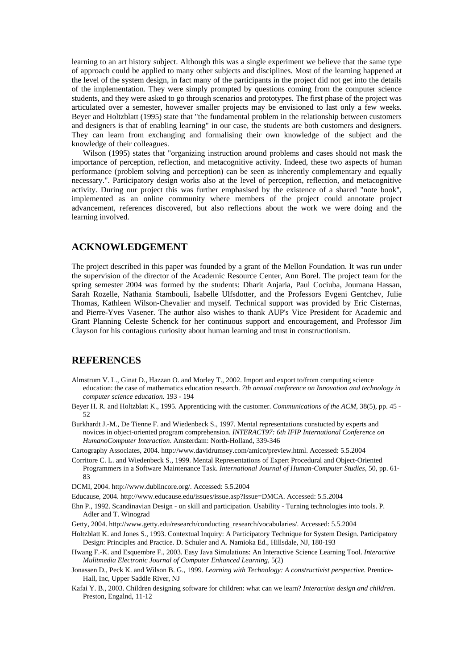learning to an art history subject. Although this was a single experiment we believe that the same type of approach could be applied to many other subjects and disciplines. Most of the learning happened at the level of the system design, in fact many of the participants in the project did not get into the details of the implementation. They were simply prompted by questions coming from the computer science students, and they were asked to go through scenarios and prototypes. The first phase of the project was articulated over a semester, however smaller projects may be envisioned to last only a few weeks. Beyer and Holtzblatt (1995) state that "the fundamental problem in the relationship between customers and designers is that of enabling learning" in our case, the students are both customers and designers. They can learn from exchanging and formalising their own knowledge of the subject and the knowledge of their colleagues.

Wilson (1995) states that "organizing instruction around problems and cases should not mask the importance of perception, reflection, and metacognitive activity. Indeed, these two aspects of human performance (problem solving and perception) can be seen as inherently complementary and equally necessary.". Participatory design works also at the level of perception, reflection, and metacognitive activity. During our project this was further emphasised by the existence of a shared "note book", implemented as an online community where members of the project could annotate project advancement, references discovered, but also reflections about the work we were doing and the learning involved.

#### **ACKNOWLEDGEMENT**

The project described in this paper was founded by a grant of the Mellon Foundation. It was run under the supervision of the director of the Academic Resource Center, Ann Borel. The project team for the spring semester 2004 was formed by the students: Dharit Anjaria, Paul Cociuba, Joumana Hassan, Sarah Rozelle, Nathania Stambouli, Isabelle Ulfsdotter, and the Professors Evgeni Gentchev, Julie Thomas, Kathleen Wilson-Chevalier and myself. Technical support was provided by Eric Cisternas, and Pierre-Yves Vasener. The author also wishes to thank AUP's Vice President for Academic and Grant Planning Celeste Schenck for her continuous support and encouragement, and Professor Jim Clayson for his contagious curiosity about human learning and trust in constructionism.

#### **REFERENCES**

- Almstrum V. L., Ginat D., Hazzan O. and Morley T., 2002. Import and export to/from computing science education: the case of mathematics education research. *7th annual conference on Innovation and technology in computer science education*. 193 - 194
- Beyer H. R. and Holtzblatt K., 1995. Apprenticing with the customer. *Communications of the ACM*, 38(5), pp. 45 52
- Burkhardt J.-M., De Tienne F. and Wiedenbeck S., 1997. Mental representations constucted by experts and novices in object-oriented program comprehension. *INTERACT97: 6th IFIP International Conference on HumanoComputer Interaction*. Amsterdam: North-Holland, 339-346

Cartography Associates, 2004. http://www.davidrumsey.com/amico/preview.html. Accessed: 5.5.2004

- Corritore C. L. and Wiedenbeck S., 1999. Mental Representations of Expert Procedural and Object-Oriented Programmers in a Software Maintenance Task. *International Journal of Human-Computer Studies*, 50, pp. 61- 83
- DCMI, 2004. http://www.dublincore.org/. Accessed: 5.5.2004

Educause, 2004. http://www.educause.edu/issues/issue.asp?Issue=DMCA. Accessed: 5.5.2004

- Ehn P., 1992. Scandinavian Design on skill and participation. Usability Turning technologies into tools. P. Adler and T. Winograd
- Getty, 2004. http://www.getty.edu/research/conducting\_research/vocabularies/. Accessed: 5.5.2004
- Holtzblatt K. and Jones S., 1993. Contextual Inquiry: A Participatory Technique for System Design. Participatory Design: Principles and Practice. D. Schuler and A. Namioka Ed., Hillsdale, NJ, 180-193
- Hwang F.-K. and Esquembre F., 2003. Easy Java Simulations: An Interactive Science Learning Tool. *Interactive Mulitmedia Electronic Journal of Computer Enhanced Learning*, 5(2)
- Jonassen D., Peck K. and Wilson B. G., 1999. *Learning with Technology: A constructivist perspective*. Prentice-Hall, Inc, Upper Saddle River, NJ
- Kafai Y. B., 2003. Children designing software for children: what can we learn? *Interaction design and children*. Preston, Engalnd, 11-12